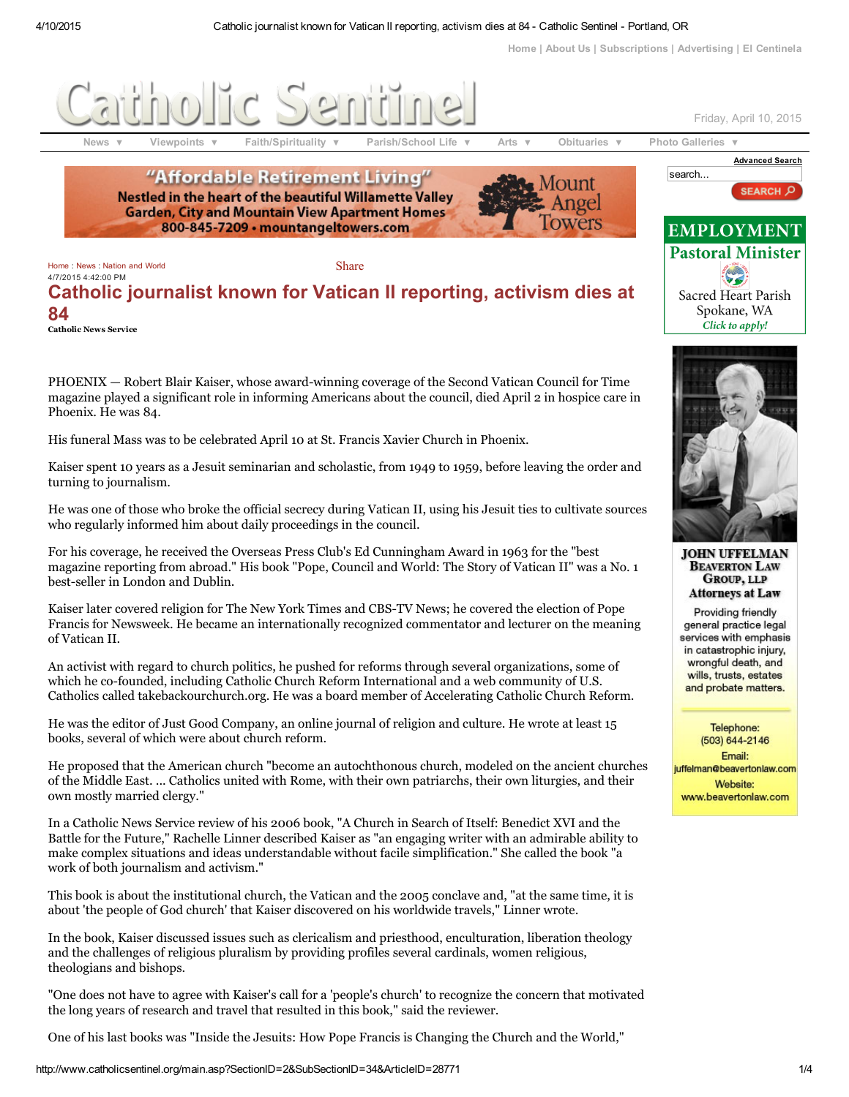[Home](http://www.catholicsentinel.org/index.asp) | [About](http://www.catholicsentinel.org/main.asp?SectionID=15&SubSectionID=60&ArticleID=11771) Us | [Subscriptions](http://www.catholicsentinel.org/Formlayout.asp?formcall=userform&form=4) | [Advertising](http://www.catholicsentinel.org/main.asp?SectionID=15&SubSectionID=60&ArticleID=11791) | El [Centinela](http://www.elcentinelacatolico.org/)

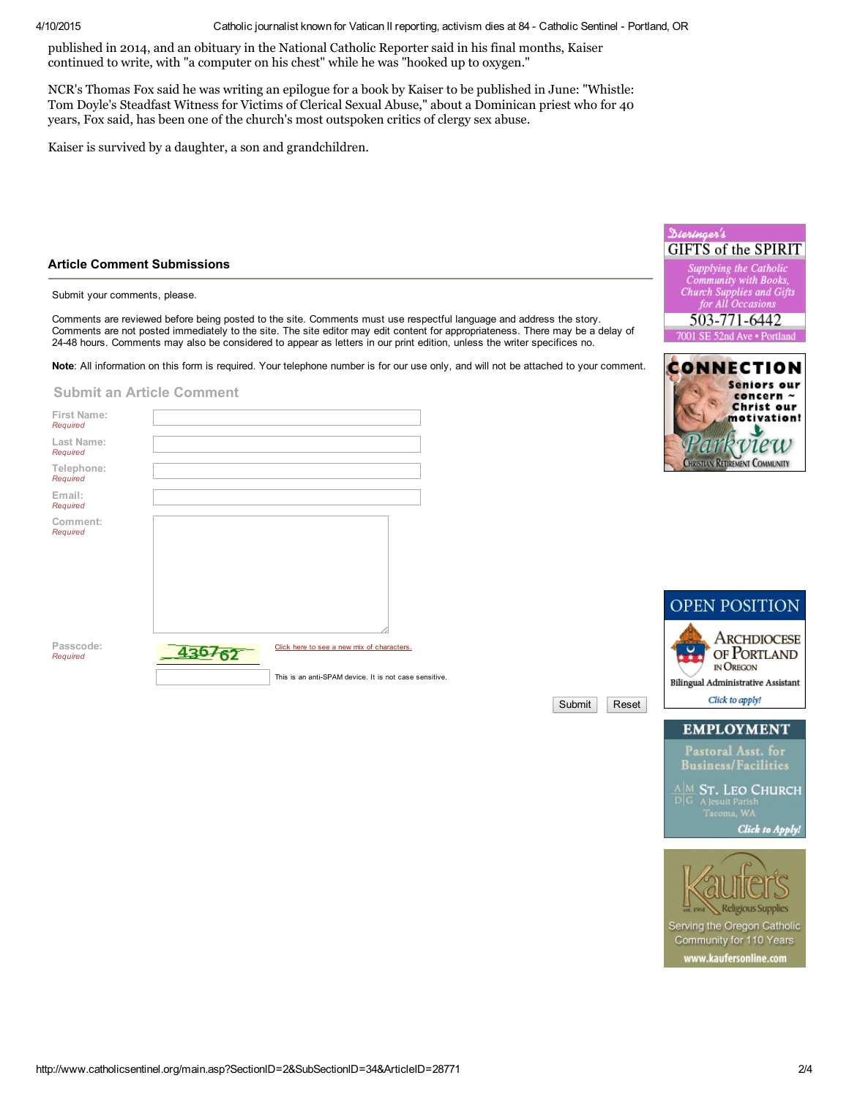4/10/2015 Catholic journalist known for Vatican II reporting, activism dies at 84 Catholic Sentinel Portland, OR

[published](http://www.catholicsentinel.org/main.asp?SectionID=18&SubSectionID=302) in 2014, and an obituary in the National Catholic Reporter said in his final months, Kaiser [continued](http://www.catholicsentinel.org/main.asp?SectionID=18&SubSectionID=301) to write, with "a computer on his chest" while he was "hooked up to oxygen."

NCR's [Thomas](http://www.catholicsentinel.org/main.asp?SectionID=18&SubSectionID=300) Fox said he was writing an epilogue for a book by Kaiser to be published in June: "Whistle: Tom Doyle's [Steadfast](http://www.catholicsentinel.org/main.asp?SectionID=18&SubSectionID=299) Witness for Victims of Clerical Sexual Abuse," about a Dominican priest who for 40 [years,](http://www.catholicsentinel.org/main.asp?SectionID=18&SubSectionID=298) Fox said, has been one of the church's most outspoken critics of clergy sex abuse.

Kaiser is [survived](http://www.catholicsentinel.org/main.asp?SectionID=18&SubSectionID=297) by a daughter, a son and grandchildren.

## Article [Comment](http://www.catholicsentinel.org/main.asp?SectionID=18&SubSectionID=289) Submissions

Submit your [comments,](http://www.catholicsentinel.org/main.asp?SectionID=18&SubSectionID=287) please.

Comments are reviewed before being posted to the site. Comments must use respectful language and address the story. [Comments](http://www.catholicsentinel.org/main.asp?SectionID=18&SubSectionID=286) are not posted immediately to the site. The site editor may edit content for appropriateness. There may be a delay of 2448 hours. [Comments](http://www.catholicsentinel.org/main.asp?SectionID=18&SubSectionID=285) may also be considered to appear as letters in our print edition, unless the writer specifices no.

Note: All [information](http://www.catholicsentinel.org/main.asp?SectionID=18&SubSectionID=284) on this form is required. Your telephone number is for our use only, and will not be attached to your comment.

## [Submit](http://www.catholicsentinel.org/main.asp?SectionID=18&SubSectionID=282) an Article Comment

| First Name:<br>Required |                                                       |
|-------------------------|-------------------------------------------------------|
| Last Name:<br>Required  |                                                       |
| Telephone:<br>Required  |                                                       |
| Email:<br>Required      |                                                       |
| Comment:<br>Required    |                                                       |
| Passcode:<br>Required   | Click here to see a new mix of characters.            |
|                         | This is an anti-SPAM device. It is not case sensitive |



reu REMENT COMMUNITY



Submit | Reset





Serving the Oregon Catholic Community for 110 Years www.kaufersonline.com